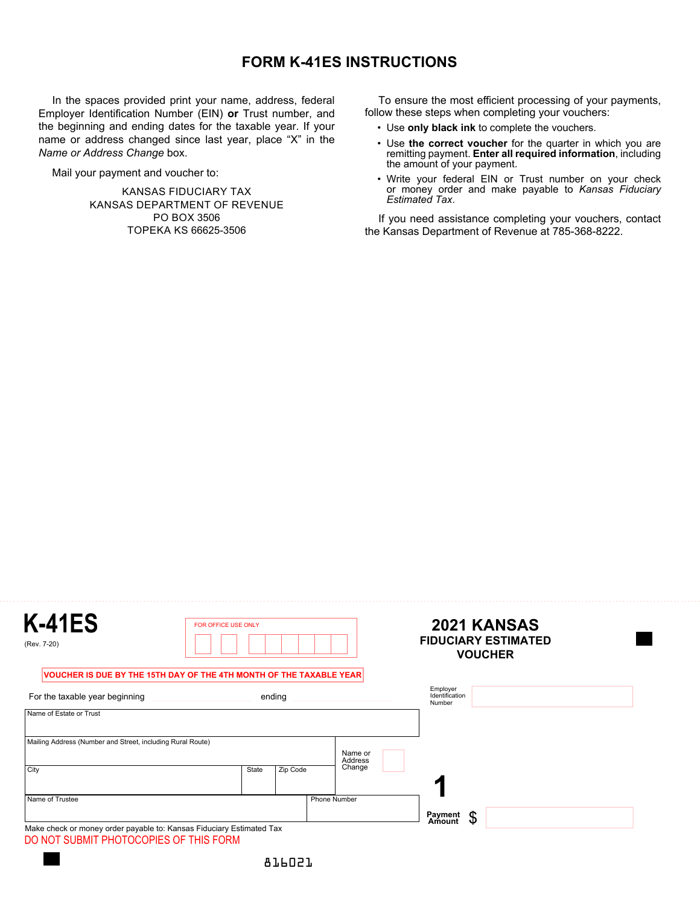## **FORM K-41ES INSTRUCTIONS**

In the spaces provided print your name, address, federal Employer Identification Number (EIN) **or** Trust number, and the beginning and ending dates for the taxable year. If your name or address changed since last year, place "X" in the *Name or Address Change* box.

Mail your payment and voucher to:

KANSAS FIDUCIARY TAX KANSAS DEPARTMENT OF REVENUE PO BOX 3506 TOPEKA KS 66625-3506

To ensure the most efficient processing of your payments, follow these steps when completing your vouchers:

- Use **only black ink** to complete the vouchers.
- Use **the correct voucher** for the quarter in which you are remitting payment. **Enter all required information**, including the amount of your payment.
- Write your federal EIN or Trust number on your check or money order and make payable to *Kansas Fiduciary Estimated Tax*.

If you need assistance completing your vouchers, contact the Kansas Department of Revenue at 785-368-8222.

| <b>K-41ES</b><br>(Rev. 7-20)                                                                                   | <b>FOR OFFICE USE ONLY</b>                                          |                     | 2021 KANSAS<br><b>FIDUCIARY ESTIMATED</b><br><b>VOUCHER</b> |
|----------------------------------------------------------------------------------------------------------------|---------------------------------------------------------------------|---------------------|-------------------------------------------------------------|
|                                                                                                                | VOUCHER IS DUE BY THE 15TH DAY OF THE 4TH MONTH OF THE TAXABLE YEAR |                     |                                                             |
| For the taxable year beginning                                                                                 | ending                                                              |                     | Employer<br>Identification<br>Number                        |
| Name of Estate or Trust                                                                                        |                                                                     |                     |                                                             |
| Mailing Address (Number and Street, including Rural Route)                                                     |                                                                     | Name or<br>Address  |                                                             |
| City                                                                                                           | Zip Code<br>State                                                   | Change              |                                                             |
| Name of Trustee                                                                                                |                                                                     | <b>Phone Number</b> |                                                             |
| Make check or money order payable to: Kansas Fiduciary Estimated Tax<br>DO NOT SUBMIT PHOTOCOPIES OF THIS FORM |                                                                     |                     | Payment<br>Amount<br>\$                                     |